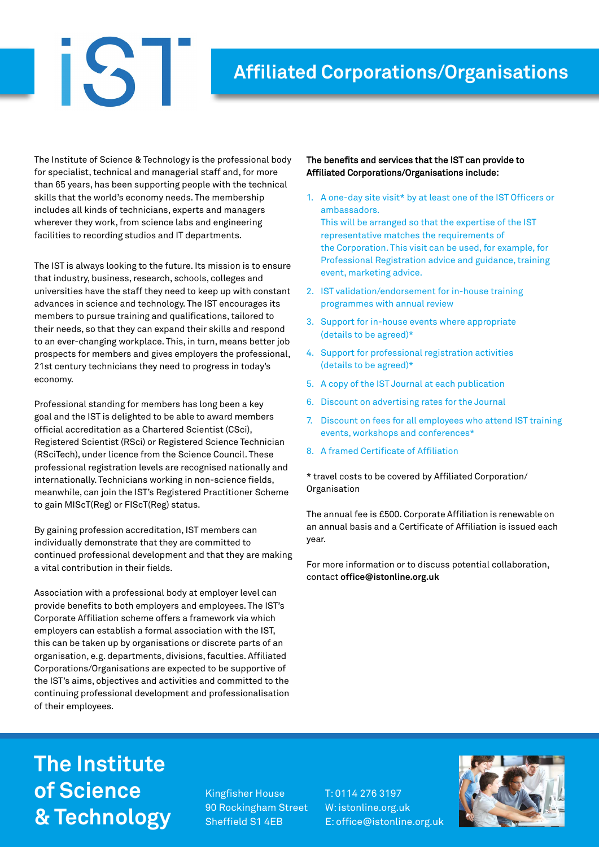### **Affiliated Corporations/Organisations**

The Institute of Science & Technology is the professional body for specialist, technical and managerial staff and, for more than 65 years, has been supporting people with the technical skills that the world's economy needs. The membership includes all kinds of technicians, experts and managers wherever they work, from science labs and engineering facilities to recording studios and IT departments.

 $\mathbf{I}$ 

The IST is always looking to the future. Its mission is to ensure that industry, business, research, schools, colleges and universities have the staff they need to keep up with constant advances in science and technology. The IST encourages its members to pursue training and qualifications, tailored to their needs, so that they can expand their skills and respond to an ever-changing workplace. This, in turn, means better job prospects for members and gives employers the professional, 21st century technicians they need to progress in today's economy.

Professional standing for members has long been a key goal and the IST is delighted to be able to award members official accreditation as a Chartered Scientist (CSci), Registered Scientist (RSci) or Registered Science Technician (RSciTech), under licence from the Science Council. These professional registration levels are recognised nationally and internationally. Technicians working in non-science fields, meanwhile, can join the IST's Registered Practitioner Scheme to gain MIScT(Reg) or FIScT(Reg) status.

By gaining profession accreditation, IST members can individually demonstrate that they are committed to continued professional development and that they are making a vital contribution in their fields.

Association with a professional body at employer level can provide benefits to both employers and employees. The IST's Corporate Affiliation scheme offers a framework via which employers can establish a formal association with the IST, this can be taken up by organisations or discrete parts of an organisation, e.g. departments, divisions, faculties. Affiliated Corporations/Organisations are expected to be supportive of the IST's aims, objectives and activities and committed to the continuing professional development and professionalisation of their employees.

### The benefits and services that the IST can provide to Affiliated Corporations/Organisations include:

- 1. A one-day site visit\* by at least one of the IST Officers or ambassadors. This will be arranged so that the expertise of the IST representative matches the requirements of the Corporation. This visit can be used, for example, for Professional Registration advice and guidance, training event, marketing advice.
- 2. IST validation/endorsement for in-house training programmes with annual review
- 3. Support for in-house events where appropriate (details to be agreed)\*
- 4. Support for professional registration activities (details to be agreed)\*
- 5. A copy of the IST Journal at each publication
- 6. Discount on advertising rates for the Journal
- 7. Discount on fees for all employees who attend IST training events, workshops and conferences\*
- 8. A framed Certificate of Affiliation

\* travel costs to be covered by Affiliated Corporation/ Organisation

The annual fee is £500. Corporate Affiliation is renewable on an annual basis and a Certificate of Affiliation is issued each year.

For more information or to discuss potential collaboration, contact **office@istonline.org.uk**

## **The Institute of Science & Technology**

Kingfisher House 90 Rockingham Street Sheffield S1 4EB

T: 0114 276 3197 W: istonline.org.uk E: office@istonline.org.uk